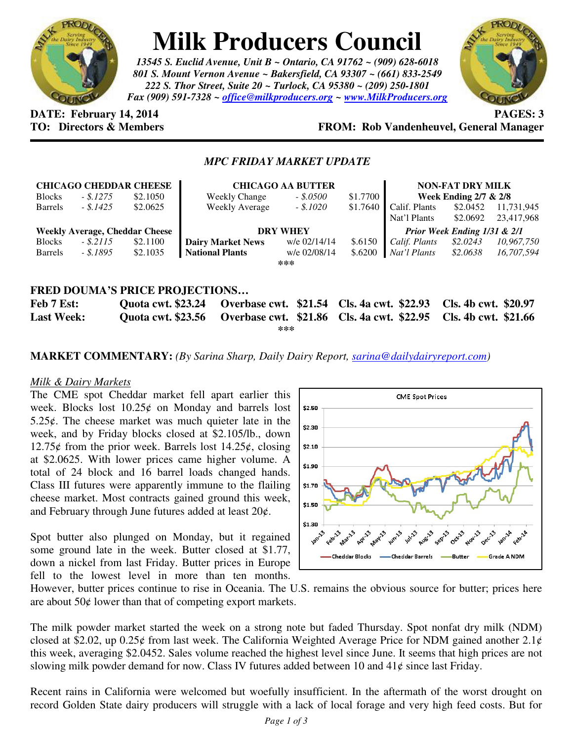

# **Milk Producers Council**

*13545 S. Euclid Avenue, Unit B ~ Ontario, CA 91762 ~ (909) 628-6018 801 S. Mount Vernon Avenue ~ Bakersfield, CA 93307 ~ (661) 833-2549 222 S. Thor Street, Suite 20 ~ Turlock, CA 95380 ~ (209) 250-1801 Fax (909) 591-7328 ~ office@milkproducers.org ~ www.MilkProducers.org*



**DATE: February 14, 2014** PAGES: 3

## **TO: Directors & Members FROM: Rob Vandenheuvel, General Manager**

### *MPC FRIDAY MARKET UPDATE*

|                                       |            | <b>CHICAGO CHEDDAR CHEESE</b> | <b>CHICAGO AA BUTTER</b>                   |              |          | <b>NON-FAT DRY MILK</b>      |                                  |            |  |  |
|---------------------------------------|------------|-------------------------------|--------------------------------------------|--------------|----------|------------------------------|----------------------------------|------------|--|--|
| <b>Blocks</b>                         | $-.5.1275$ | \$2.1050                      | <b>Weekly Change</b>                       | $-$ \$.0500  | \$1.7700 |                              | <b>Week Ending 2/7 &amp; 2/8</b> |            |  |  |
| <b>Barrels</b>                        | - \$.1425  | \$2.0625                      | <b>Weekly Average</b>                      | $-$ \$.1020  | \$1.7640 | Calif. Plants                | \$2.0452                         | 11,731,945 |  |  |
|                                       |            |                               |                                            |              |          | Nat'l Plants                 | \$2.0692                         | 23,417,968 |  |  |
| <b>Weekly Average, Cheddar Cheese</b> |            |                               | <b>DRY WHEY</b>                            |              |          | Prior Week Ending 1/31 & 2/1 |                                  |            |  |  |
| <b>Blocks</b>                         | $-.5.2115$ | \$2.1100                      | <b>Dairy Market News</b>                   | w/e 02/14/14 | \$.6150  | Calif. Plants                | \$2.0243                         | 10,967,750 |  |  |
| <b>Barrels</b>                        | - \$.1895  | \$2.1035                      | <b>National Plants</b>                     | w/e 02/08/14 | \$.6200  | Nat'l Plants                 | \$2.0638                         | 16,707,594 |  |  |
| ***                                   |            |                               |                                            |              |          |                              |                                  |            |  |  |
|                                       |            |                               |                                            |              |          |                              |                                  |            |  |  |
| FRED DOUMA'S PRICE PROJECTIONS        |            |                               |                                            |              |          |                              |                                  |            |  |  |
| <b>Feb 7 Est:</b>                     |            | <b>Quota cwt. \$23.24</b>     | Overbase cwt. \$21.54 Cls. 4a cwt. \$22.93 |              |          |                              | Cls. 4b cwt. \$20.97             |            |  |  |
| <b>Last Week:</b>                     |            | <b>Quota cwt. \$23.56</b>     | Overbase cwt. \$21.86 Cls. 4a cwt. \$22.95 |              |          |                              | Cls. 4b cwt. \$21.66             |            |  |  |

**\*\*\*** 

**MARKET COMMENTARY:** *(By Sarina Sharp, Daily Dairy Report, sarina@dailydairyreport.com)* 

#### *Milk & Dairy Markets*

The CME spot Cheddar market fell apart earlier this week. Blocks lost  $10.25¢$  on Monday and barrels lost 5.25 $\epsilon$ . The cheese market was much quieter late in the week, and by Friday blocks closed at \$2.105/lb., down 12.75 $\rlap{/}$  from the prior week. Barrels lost 14.25 $\rlap{/}$ , closing at \$2.0625. With lower prices came higher volume. A total of 24 block and 16 barrel loads changed hands. Class III futures were apparently immune to the flailing cheese market. Most contracts gained ground this week, and February through June futures added at least  $20¢$ .

Spot butter also plunged on Monday, but it regained some ground late in the week. Butter closed at \$1.77, down a nickel from last Friday. Butter prices in Europe fell to the lowest level in more than ten months.



However, butter prices continue to rise in Oceania. The U.S. remains the obvious source for butter; prices here are about  $50¢$  lower than that of competing export markets.

The milk powder market started the week on a strong note but faded Thursday. Spot nonfat dry milk (NDM) closed at \$2.02, up 0.25 $\phi$  from last week. The California Weighted Average Price for NDM gained another 2.1 $\phi$ this week, averaging \$2.0452. Sales volume reached the highest level since June. It seems that high prices are not slowing milk powder demand for now. Class IV futures added between 10 and  $41¢$  since last Friday.

Recent rains in California were welcomed but woefully insufficient. In the aftermath of the worst drought on record Golden State dairy producers will struggle with a lack of local forage and very high feed costs. But for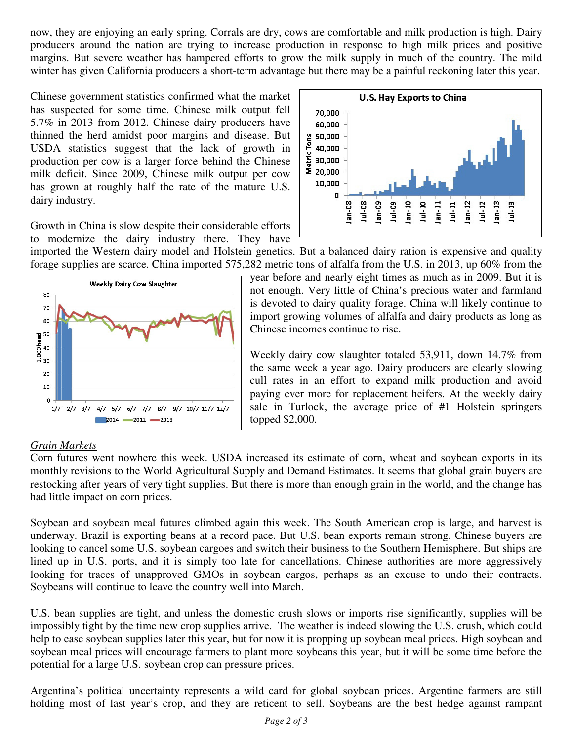now, they are enjoying an early spring. Corrals are dry, cows are comfortable and milk production is high. Dairy producers around the nation are trying to increase production in response to high milk prices and positive margins. But severe weather has hampered efforts to grow the milk supply in much of the country. The mild winter has given California producers a short-term advantage but there may be a painful reckoning later this year.

Chinese government statistics confirmed what the market has suspected for some time. Chinese milk output fell 5.7% in 2013 from 2012. Chinese dairy producers have thinned the herd amidst poor margins and disease. But USDA statistics suggest that the lack of growth in production per cow is a larger force behind the Chinese milk deficit. Since 2009, Chinese milk output per cow has grown at roughly half the rate of the mature U.S. dairy industry.

Growth in China is slow despite their considerable efforts to modernize the dairy industry there. They have

**U.S. Hay Exports to China** 70,000 60,000 g 50,000<br>0 40,000<br>ig 30,000  $\Sigma_{20,000}$ 10,000 0 Jul-08  $en-09$ Jul-09  $1u + 10$  $Im-12$ Jul-12  $l$ an-13  $Jul-13$ an-10  $\frac{11}{2}$  $Jul-11$ an-08

imported the Western dairy model and Holstein genetics. But a balanced dairy ration is expensive and quality forage supplies are scarce. China imported 575,282 metric tons of alfalfa from the U.S. in 2013, up 60% from the



year before and nearly eight times as much as in 2009. But it is not enough. Very little of China's precious water and farmland is devoted to dairy quality forage. China will likely continue to import growing volumes of alfalfa and dairy products as long as Chinese incomes continue to rise.

Weekly dairy cow slaughter totaled 53,911, down 14.7% from the same week a year ago. Dairy producers are clearly slowing cull rates in an effort to expand milk production and avoid paying ever more for replacement heifers. At the weekly dairy sale in Turlock, the average price of #1 Holstein springers topped \$2,000.

#### *Grain Markets*

Corn futures went nowhere this week. USDA increased its estimate of corn, wheat and soybean exports in its monthly revisions to the World Agricultural Supply and Demand Estimates. It seems that global grain buyers are restocking after years of very tight supplies. But there is more than enough grain in the world, and the change has had little impact on corn prices.

Soybean and soybean meal futures climbed again this week. The South American crop is large, and harvest is underway. Brazil is exporting beans at a record pace. But U.S. bean exports remain strong. Chinese buyers are looking to cancel some U.S. soybean cargoes and switch their business to the Southern Hemisphere. But ships are lined up in U.S. ports, and it is simply too late for cancellations. Chinese authorities are more aggressively looking for traces of unapproved GMOs in soybean cargos, perhaps as an excuse to undo their contracts. Soybeans will continue to leave the country well into March.

U.S. bean supplies are tight, and unless the domestic crush slows or imports rise significantly, supplies will be impossibly tight by the time new crop supplies arrive. The weather is indeed slowing the U.S. crush, which could help to ease soybean supplies later this year, but for now it is propping up soybean meal prices. High soybean and soybean meal prices will encourage farmers to plant more soybeans this year, but it will be some time before the potential for a large U.S. soybean crop can pressure prices.

Argentina's political uncertainty represents a wild card for global soybean prices. Argentine farmers are still holding most of last year's crop, and they are reticent to sell. Soybeans are the best hedge against rampant